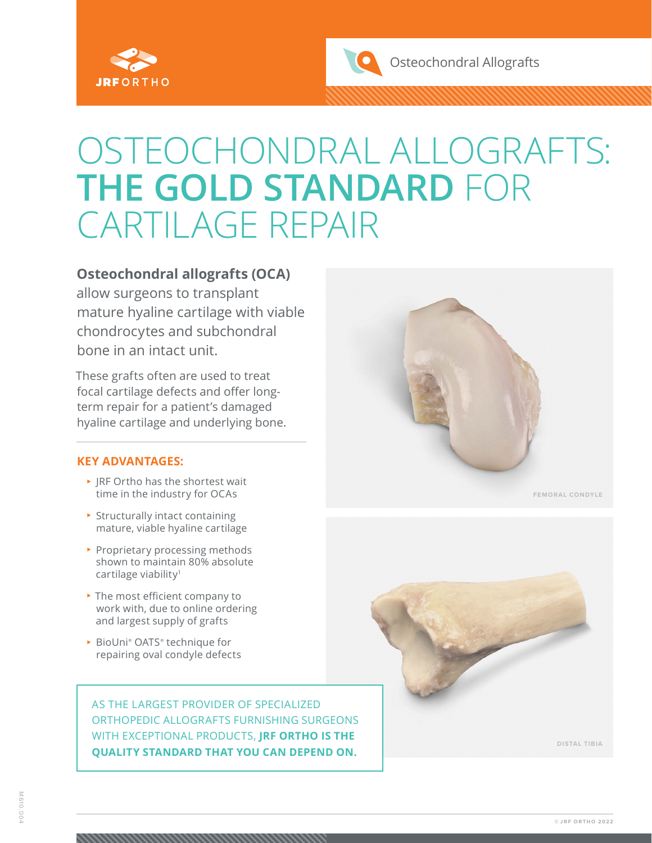



# OSTEOCHONDRAL ALLOGRAFTS: **THE GOLD STANDARD** FOR CARTILAGE REPAIR

### **Osteochondral allografts (OCA)**

allow surgeons to transplant mature hyaline cartilage with viable chondrocytes and subchondral bone in an intact unit.

These grafts often are used to treat focal cartilage defects and offer longterm repair for a patient's damaged hyaline cartilage and underlying bone.

### **KEY ADVANTAGES:**

- <sup>⊲</sup> JRF Ortho has the shortest wait time in the industry for OCAs
- ▶ Structurally intact containing mature, viable hyaline cartilage
- ▶ Proprietary processing methods shown to maintain 80% absolute cartilage viability<sup>1</sup>
- <sup>⊲</sup> The most efficient company to work with, due to online ordering and largest supply of grafts
- ▶ BioUni® OATS® technique for repairing oval condyle defects

AS THE LARGEST PROVIDER OF SPECIALIZED ORTHOPEDIC ALLOGRAFTS FURNISHING SURGEONS WITH EXCEPTIONAL PRODUCTS, **JRF ORTHO IS THE QUALITY STANDARD THAT YOU CAN DEPEND ON.**



**FEMORAL CONDYLE**